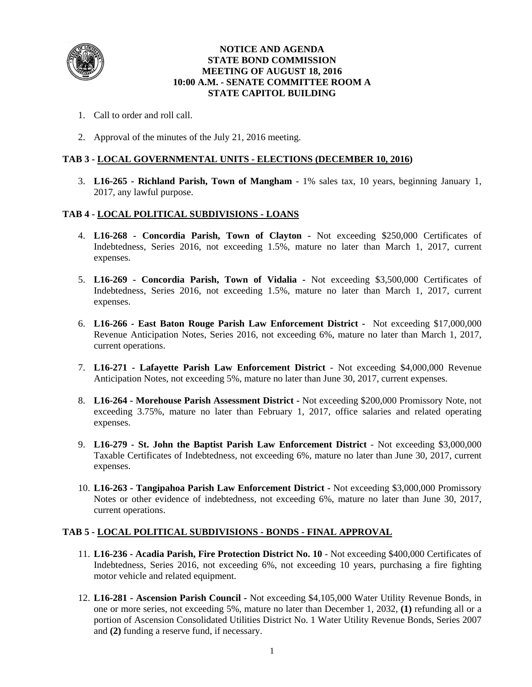

#### **NOTICE AND AGENDA STATE BOND COMMISSION MEETING OF AUGUST 18, 2016 10:00 A.M. - SENATE COMMITTEE ROOM A STATE CAPITOL BUILDING**

- 1. Call to order and roll call.
- 2. Approval of the minutes of the July 21, 2016 meeting.

#### **TAB 3 - LOCAL GOVERNMENTAL UNITS - ELECTIONS (DECEMBER 10, 2016)**

3. **L16-265 - Richland Parish, Town of Mangham** - 1% sales tax, 10 years, beginning January 1, 2017, any lawful purpose.

### **TAB 4 - LOCAL POLITICAL SUBDIVISIONS - LOANS**

- 4. **L16-268 Concordia Parish, Town of Clayton** Not exceeding \$250,000 Certificates of Indebtedness, Series 2016, not exceeding 1.5%, mature no later than March 1, 2017, current expenses.
- 5. **L16-269 Concordia Parish, Town of Vidalia** Not exceeding \$3,500,000 Certificates of Indebtedness, Series 2016, not exceeding 1.5%, mature no later than March 1, 2017, current expenses.
- 6. **L16-266 East Baton Rouge Parish Law Enforcement District** Not exceeding \$17,000,000 Revenue Anticipation Notes, Series 2016, not exceeding 6%, mature no later than March 1, 2017, current operations.
- 7. **L16-271 Lafayette Parish Law Enforcement District** Not exceeding \$4,000,000 Revenue Anticipation Notes, not exceeding 5%, mature no later than June 30, 2017, current expenses.
- 8. **L16-264 Morehouse Parish Assessment District** Not exceeding \$200,000 Promissory Note, not exceeding 3.75%, mature no later than February 1, 2017, office salaries and related operating expenses.
- 9. **L16-279 St. John the Baptist Parish Law Enforcement District** Not exceeding \$3,000,000 Taxable Certificates of Indebtedness, not exceeding 6%, mature no later than June 30, 2017, current expenses.
- 10. **L16-263 Tangipahoa Parish Law Enforcement District -** Not exceeding \$3,000,000 Promissory Notes or other evidence of indebtedness, not exceeding 6%, mature no later than June 30, 2017, current operations.

### **TAB 5 - LOCAL POLITICAL SUBDIVISIONS - BONDS - FINAL APPROVAL**

- 11. **L16-236 Acadia Parish, Fire Protection District No. 10** Not exceeding \$400,000 Certificates of Indebtedness, Series 2016, not exceeding 6%, not exceeding 10 years, purchasing a fire fighting motor vehicle and related equipment.
- 12. **L16-281 Ascension Parish Council** Not exceeding \$4,105,000 Water Utility Revenue Bonds, in one or more series, not exceeding 5%, mature no later than December 1, 2032, **(1)** refunding all or a portion of Ascension Consolidated Utilities District No. 1 Water Utility Revenue Bonds, Series 2007 and **(2)** funding a reserve fund, if necessary.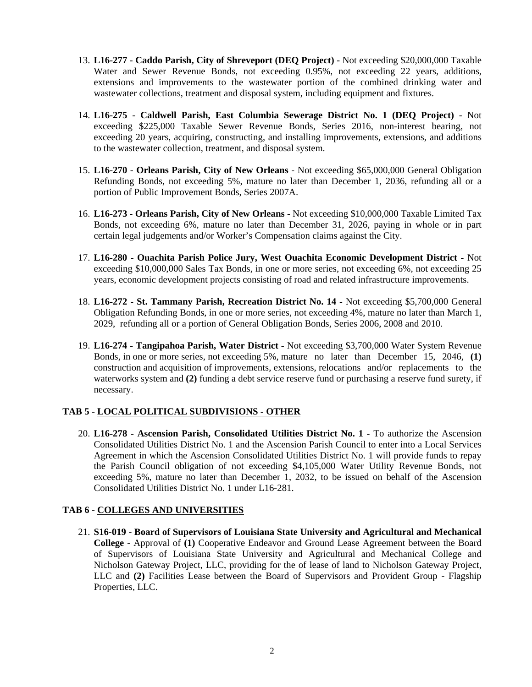- 13. **L16-277 Caddo Parish, City of Shreveport (DEQ Project) -** Not exceeding \$20,000,000 Taxable Water and Sewer Revenue Bonds, not exceeding 0.95%, not exceeding 22 years, additions, extensions and improvements to the wastewater portion of the combined drinking water and wastewater collections, treatment and disposal system, including equipment and fixtures.
- 14. **L16-275 Caldwell Parish, East Columbia Sewerage District No. 1 (DEQ Project)** Not exceeding \$225,000 Taxable Sewer Revenue Bonds, Series 2016, non-interest bearing, not exceeding 20 years, acquiring, constructing, and installing improvements, extensions, and additions to the wastewater collection, treatment, and disposal system.
- 15. **L16-270 Orleans Parish, City of New Orleans**  Not exceeding \$65,000,000 General Obligation Refunding Bonds, not exceeding 5%, mature no later than December 1, 2036, refunding all or a portion of Public Improvement Bonds, Series 2007A.
- 16. **L16-273 Orleans Parish, City of New Orleans** Not exceeding \$10,000,000 Taxable Limited Tax Bonds, not exceeding 6%, mature no later than December 31, 2026, paying in whole or in part certain legal judgements and/or Worker's Compensation claims against the City.
- 17. **L16-280 Ouachita Parish Police Jury, West Ouachita Economic Development District -** Not exceeding \$10,000,000 Sales Tax Bonds, in one or more series, not exceeding 6%, not exceeding 25 years, economic development projects consisting of road and related infrastructure improvements.
- 18. **L16-272 St. Tammany Parish, Recreation District No. 14** Not exceeding \$5,700,000 General Obligation Refunding Bonds, in one or more series, not exceeding 4%, mature no later than March 1, 2029, refunding all or a portion of General Obligation Bonds, Series 2006, 2008 and 2010.
- 19. **L16-274 Tangipahoa Parish, Water District** Not exceeding \$3,700,000 Water System Revenue Bonds, in one or more series, not exceeding 5%, mature no later than December 15, 2046, **(1)** construction and acquisition of improvements, extensions, relocations and/or replacements to the waterworks system and **(2)** funding a debt service reserve fund or purchasing a reserve fund surety, if necessary.

### **TAB 5** - **LOCAL POLITICAL SUBDIVISIONS - OTHER**

20. **L16-278 - Ascension Parish, Consolidated Utilities District No. 1 -** To authorize the Ascension Consolidated Utilities District No. 1 and the Ascension Parish Council to enter into a Local Services Agreement in which the Ascension Consolidated Utilities District No. 1 will provide funds to repay the Parish Council obligation of not exceeding \$4,105,000 Water Utility Revenue Bonds, not exceeding 5%, mature no later than December 1, 2032, to be issued on behalf of the Ascension Consolidated Utilities District No. 1 under L16-281.

### **TAB 6 - COLLEGES AND UNIVERSITIES**

21. **S16-019 - Board of Supervisors of Louisiana State University and Agricultural and Mechanical College -** Approval of **(1)** Cooperative Endeavor and Ground Lease Agreement between the Board of Supervisors of Louisiana State University and Agricultural and Mechanical College and Nicholson Gateway Project, LLC, providing for the of lease of land to Nicholson Gateway Project, LLC and **(2)** Facilities Lease between the Board of Supervisors and Provident Group - Flagship Properties, LLC.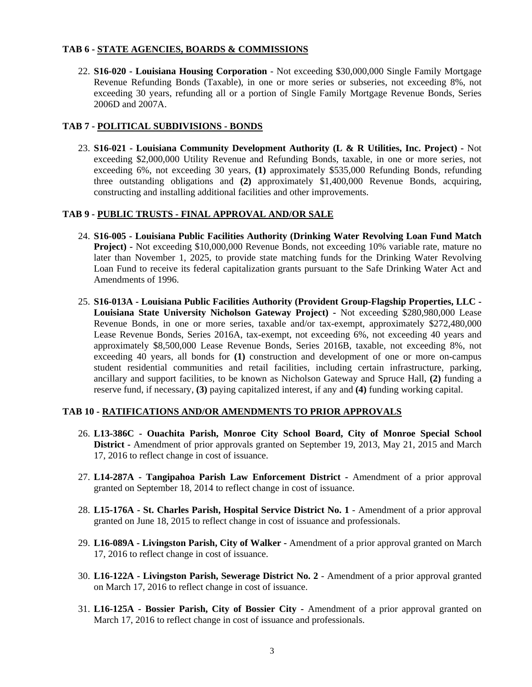#### **TAB 6 - STATE AGENCIES, BOARDS & COMMISSIONS**

22. **S16-020 - Louisiana Housing Corporation** - Not exceeding \$30,000,000 Single Family Mortgage Revenue Refunding Bonds (Taxable), in one or more series or subseries, not exceeding 8%, not exceeding 30 years, refunding all or a portion of Single Family Mortgage Revenue Bonds, Series 2006D and 2007A.

### **TAB 7 - POLITICAL SUBDIVISIONS - BONDS**

23. **S16-021 - Louisiana Community Development Authority (L & R Utilities, Inc. Project) -** Not exceeding \$2,000,000 Utility Revenue and Refunding Bonds, taxable, in one or more series, not exceeding 6%, not exceeding 30 years, **(1)** approximately \$535,000 Refunding Bonds, refunding three outstanding obligations and **(2)** approximately \$1,400,000 Revenue Bonds, acquiring, constructing and installing additional facilities and other improvements.

### **TAB 9 - PUBLIC TRUSTS - FINAL APPROVAL AND/OR SALE**

- 24. **S16-005 Louisiana Public Facilities Authority (Drinking Water Revolving Loan Fund Match Project) -** Not exceeding \$10,000,000 Revenue Bonds, not exceeding 10% variable rate, mature no later than November 1, 2025, to provide state matching funds for the Drinking Water Revolving Loan Fund to receive its federal capitalization grants pursuant to the Safe Drinking Water Act and Amendments of 1996.
- 25. **S16-013A Louisiana Public Facilities Authority (Provident Group-Flagship Properties, LLC Louisiana State University Nicholson Gateway Project) -** Not exceeding \$280,980,000 Lease Revenue Bonds, in one or more series, taxable and/or tax-exempt, approximately \$272,480,000 Lease Revenue Bonds, Series 2016A, tax-exempt, not exceeding 6%, not exceeding 40 years and approximately \$8,500,000 Lease Revenue Bonds, Series 2016B, taxable, not exceeding 8%, not exceeding 40 years, all bonds for **(1)** construction and development of one or more on-campus student residential communities and retail facilities, including certain infrastructure, parking, ancillary and support facilities, to be known as Nicholson Gateway and Spruce Hall, **(2)** funding a reserve fund, if necessary, **(3)** paying capitalized interest, if any and **(4)** funding working capital.

#### **TAB 10 - RATIFICATIONS AND/OR AMENDMENTS TO PRIOR APPROVALS**

- 26. **L13-386C Ouachita Parish, Monroe City School Board, City of Monroe Special School District -** Amendment of prior approvals granted on September 19, 2013, May 21, 2015 and March 17, 2016 to reflect change in cost of issuance.
- 27. **L14-287A Tangipahoa Parish Law Enforcement District -** Amendment of a prior approval granted on September 18, 2014 to reflect change in cost of issuance.
- 28. **L15-176A St. Charles Parish, Hospital Service District No. 1** Amendment of a prior approval granted on June 18, 2015 to reflect change in cost of issuance and professionals.
- 29. **L16-089A Livingston Parish, City of Walker** Amendment of a prior approval granted on March 17, 2016 to reflect change in cost of issuance.
- 30. **L16-122A Livingston Parish, Sewerage District No. 2** Amendment of a prior approval granted on March 17, 2016 to reflect change in cost of issuance.
- 31. **L16-125A Bossier Parish, City of Bossier City -** Amendment of a prior approval granted on March 17, 2016 to reflect change in cost of issuance and professionals.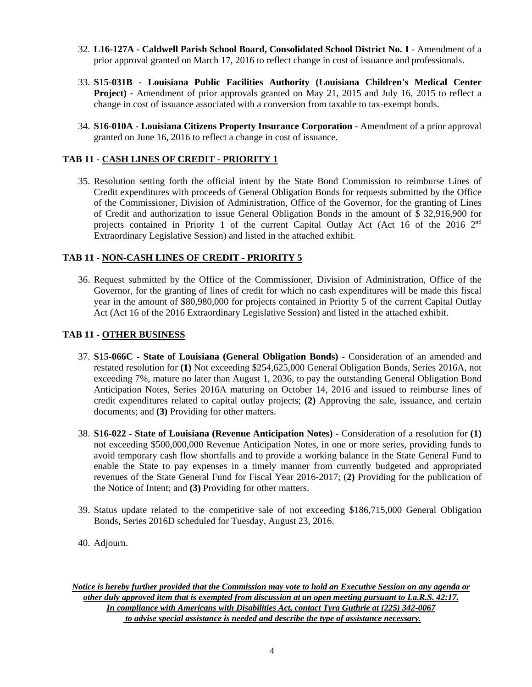- 32. **L16-127A Caldwell Parish School Board, Consolidated School District No. 1** Amendment of a prior approval granted on March 17, 2016 to reflect change in cost of issuance and professionals.
- 33. **S15-031B Louisiana Public Facilities Authority (Louisiana Children's Medical Center Project) -** Amendment of prior approvals granted on May 21, 2015 and July 16, 2015 to reflect a change in cost of issuance associated with a conversion from taxable to tax-exempt bonds.
- 34. **S16-010A Louisiana Citizens Property Insurance Corporation** Amendment of a prior approval granted on June 16, 2016 to reflect a change in cost of issuance.

### **TAB 11 - CASH LINES OF CREDIT - PRIORITY 1**

35. Resolution setting forth the official intent by the State Bond Commission to reimburse Lines of Credit expenditures with proceeds of General Obligation Bonds for requests submitted by the Office of the Commissioner, Division of Administration, Office of the Governor, for the granting of Lines of Credit and authorization to issue General Obligation Bonds in the amount of \$ 32,916,900 for projects contained in Priority 1 of the current Capital Outlay Act (Act 16 of the 2016  $2<sup>nd</sup>$ Extraordinary Legislative Session) and listed in the attached exhibit.

### **TAB 11 - NON-CASH LINES OF CREDIT - PRIORITY 5**

36. Request submitted by the Office of the Commissioner, Division of Administration, Office of the Governor, for the granting of lines of credit for which no cash expenditures will be made this fiscal year in the amount of \$80,980,000 for projects contained in Priority 5 of the current Capital Outlay Act (Act 16 of the 2016 Extraordinary Legislative Session) and listed in the attached exhibit.

### **TAB 11 - OTHER BUSINESS**

- 37. **S15-066C State of Louisiana (General Obligation Bonds)**  Consideration of an amended and restated resolution for **(1)** Not exceeding \$254,625,000 General Obligation Bonds, Series 2016A, not exceeding 7%, mature no later than August 1, 2036, to pay the outstanding General Obligation Bond Anticipation Notes, Series 2016A maturing on October 14, 2016 and issued to reimburse lines of credit expenditures related to capital outlay projects; **(2)** Approving the sale, issuance, and certain documents; and **(3)** Providing for other matters.
- 38. **S16-022 State of Louisiana (Revenue Anticipation Notes) -** Consideration of a resolution for **(1)**  not exceeding \$500,000,000 Revenue Anticipation Notes, in one or more series, providing funds to avoid temporary cash flow shortfalls and to provide a working balance in the State General Fund to enable the State to pay expenses in a timely manner from currently budgeted and appropriated revenues of the State General Fund for Fiscal Year 2016-2017; (**2)** Providing for the publication of the Notice of Intent; and **(3)** Providing for other matters.
- 39. Status update related to the competitive sale of not exceeding \$186,715,000 General Obligation Bonds, Series 2016D scheduled for Tuesday, August 23, 2016.
- 40. Adjourn.

*Notice is hereby further provided that the Commission may vote to hold an Executive Session on any agenda or other duly approved item that is exempted from discussion at an open meeting pursuant to La.R.S. 42:17. In compliance with Americans with Disabilities Act, contact Tyra Guthrie at (225) 342-0067 to advise special assistance is needed and describe the type of assistance necessary.*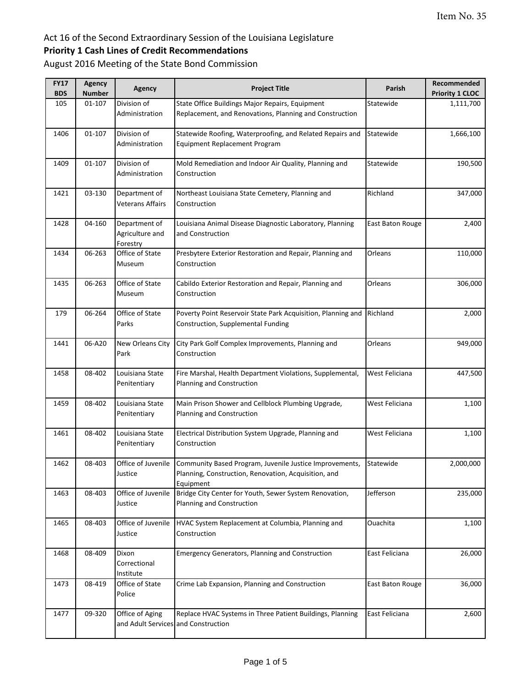# **Priority 1 Cash Lines of Credit Recommendations**

| <b>FY17</b><br><b>BDS</b> | Agency<br><b>Number</b> | <b>Agency</b>                                          | <b>Project Title</b>                                                                                                         | Parish           | Recommended<br><b>Priority 1 CLOC</b> |
|---------------------------|-------------------------|--------------------------------------------------------|------------------------------------------------------------------------------------------------------------------------------|------------------|---------------------------------------|
| 105                       | 01-107                  | Division of<br>Administration                          | State Office Buildings Major Repairs, Equipment<br>Replacement, and Renovations, Planning and Construction                   | Statewide        | 1,111,700                             |
| 1406                      | 01-107                  | Division of<br>Administration                          | Statewide Roofing, Waterproofing, and Related Repairs and<br>Equipment Replacement Program                                   | Statewide        | 1,666,100                             |
| 1409                      | $01 - 107$              | Division of<br>Administration                          | Mold Remediation and Indoor Air Quality, Planning and<br>Construction                                                        | Statewide        | 190,500                               |
| 1421                      | 03-130                  | Department of<br>Veterans Affairs                      | Northeast Louisiana State Cemetery, Planning and<br>Construction                                                             | Richland         | 347,000                               |
| 1428                      | 04-160                  | Department of<br>Agriculture and<br>Forestry           | Louisiana Animal Disease Diagnostic Laboratory, Planning<br>and Construction                                                 | East Baton Rouge | 2,400                                 |
| 1434                      | 06-263                  | Office of State<br>Museum                              | Presbytere Exterior Restoration and Repair, Planning and<br>Construction                                                     | Orleans          | 110,000                               |
| 1435                      | 06-263                  | Office of State<br>Museum                              | Cabildo Exterior Restoration and Repair, Planning and<br>Construction                                                        | Orleans          | 306,000                               |
| 179                       | 06-264                  | Office of State<br>Parks                               | Poverty Point Reservoir State Park Acquisition, Planning and<br>Construction, Supplemental Funding                           | Richland         | 2,000                                 |
| 1441                      | 06-A20                  | New Orleans City<br>Park                               | City Park Golf Complex Improvements, Planning and<br>Construction                                                            | Orleans          | 949,000                               |
| 1458                      | 08-402                  | Louisiana State<br>Penitentiary                        | Fire Marshal, Health Department Violations, Supplemental,<br>Planning and Construction                                       | West Feliciana   | 447,500                               |
| 1459                      | 08-402                  | Louisiana State<br>Penitentiary                        | Main Prison Shower and Cellblock Plumbing Upgrade,<br>Planning and Construction                                              | West Feliciana   | 1,100                                 |
| 1461                      | 08-402                  | Louisiana State<br>Penitentiary                        | Electrical Distribution System Upgrade, Planning and<br>Construction                                                         | West Feliciana   | 1,100                                 |
| 1462                      | 08-403                  | Office of Juvenile<br>Justice                          | Community Based Program, Juvenile Justice Improvements,<br>Planning, Construction, Renovation, Acquisition, and<br>Equipment | Statewide        | 2,000,000                             |
| 1463                      | 08-403                  | Office of Juvenile<br>Justice                          | Bridge City Center for Youth, Sewer System Renovation,<br>Planning and Construction                                          | Jefferson        | 235,000                               |
| 1465                      | 08-403                  | Office of Juvenile<br>Justice                          | HVAC System Replacement at Columbia, Planning and<br>Construction                                                            | Ouachita         | 1,100                                 |
| 1468                      | 08-409                  | Dixon<br>Correctional<br>Institute                     | <b>Emergency Generators, Planning and Construction</b>                                                                       | East Feliciana   | 26,000                                |
| 1473                      | 08-419                  | Office of State<br>Police                              | Crime Lab Expansion, Planning and Construction                                                                               | East Baton Rouge | 36,000                                |
| 1477                      | 09-320                  | Office of Aging<br>and Adult Services and Construction | Replace HVAC Systems in Three Patient Buildings, Planning                                                                    | East Feliciana   | 2,600                                 |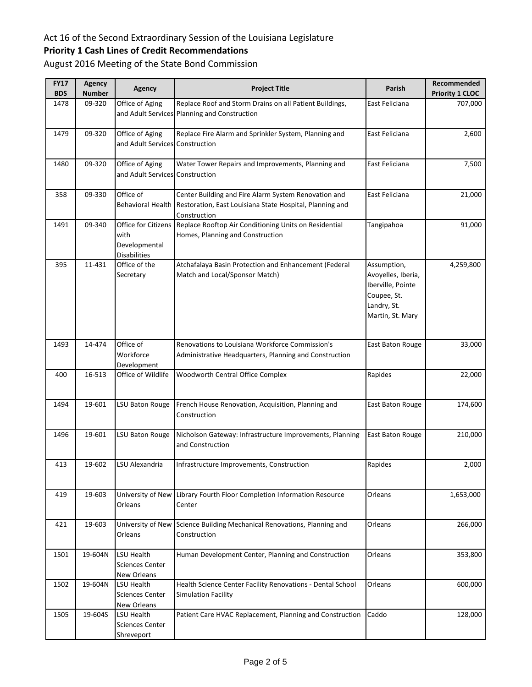# **Priority 1 Cash Lines of Credit Recommendations**

| <b>FY17</b><br><b>BDS</b> | <b>Agency</b><br><b>Number</b> | <b>Agency</b>                                                       | <b>Project Title</b>                                                                                                             | Parish                                                                                                   | Recommended<br><b>Priority 1 CLOC</b> |
|---------------------------|--------------------------------|---------------------------------------------------------------------|----------------------------------------------------------------------------------------------------------------------------------|----------------------------------------------------------------------------------------------------------|---------------------------------------|
| 1478                      | 09-320                         | Office of Aging                                                     | Replace Roof and Storm Drains on all Patient Buildings,<br>and Adult Services Planning and Construction                          | East Feliciana                                                                                           | 707,000                               |
| 1479                      | 09-320                         | Office of Aging<br>and Adult Services Construction                  | Replace Fire Alarm and Sprinkler System, Planning and                                                                            | East Feliciana                                                                                           | 2,600                                 |
| 1480                      | 09-320                         | Office of Aging<br>and Adult Services Construction                  | Water Tower Repairs and Improvements, Planning and                                                                               | East Feliciana                                                                                           | 7,500                                 |
| 358                       | 09-330                         | Office of<br><b>Behavioral Health</b>                               | Center Building and Fire Alarm System Renovation and<br>Restoration, East Louisiana State Hospital, Planning and<br>Construction | East Feliciana                                                                                           | 21,000                                |
| 1491                      | 09-340                         | Office for Citizens<br>with<br>Developmental<br><b>Disabilities</b> | Replace Rooftop Air Conditioning Units on Residential<br>Homes, Planning and Construction                                        | Tangipahoa                                                                                               | 91,000                                |
| 395                       | 11-431                         | Office of the<br>Secretary                                          | Atchafalaya Basin Protection and Enhancement (Federal<br>Match and Local/Sponsor Match)                                          | Assumption,<br>Avoyelles, Iberia,<br>Iberville, Pointe<br>Coupee, St.<br>Landry, St.<br>Martin, St. Mary | 4,259,800                             |
| 1493                      | 14-474                         | Office of<br>Workforce<br>Development                               | Renovations to Louisiana Workforce Commission's<br>Administrative Headquarters, Planning and Construction                        | East Baton Rouge                                                                                         | 33,000                                |
| 400                       | 16-513                         | Office of Wildlife                                                  | <b>Woodworth Central Office Complex</b>                                                                                          | Rapides                                                                                                  | 22,000                                |
| 1494                      | 19-601                         | LSU Baton Rouge                                                     | French House Renovation, Acquisition, Planning and<br>Construction                                                               | East Baton Rouge                                                                                         | 174,600                               |
| 1496                      | 19-601                         | LSU Baton Rouge                                                     | Nicholson Gateway: Infrastructure Improvements, Planning<br>and Construction                                                     | East Baton Rouge                                                                                         | 210,000                               |
| 413                       | 19-602                         | LSU Alexandria                                                      | Infrastructure Improvements, Construction                                                                                        | Rapides                                                                                                  | 2,000                                 |
| 419                       | 19-603                         | University of New<br>Orleans                                        | Library Fourth Floor Completion Information Resource<br>Center                                                                   | Orleans                                                                                                  | 1,653,000                             |
| 421                       | 19-603                         | Orleans                                                             | University of New Science Building Mechanical Renovations, Planning and<br>Construction                                          | Orleans                                                                                                  | 266,000                               |
| 1501                      | 19-604N                        | LSU Health<br><b>Sciences Center</b><br>New Orleans                 | Human Development Center, Planning and Construction                                                                              | Orleans                                                                                                  | 353,800                               |
| 1502                      | 19-604N                        | LSU Health<br><b>Sciences Center</b><br>New Orleans                 | Health Science Center Facility Renovations - Dental School<br><b>Simulation Facility</b>                                         | Orleans                                                                                                  | 600,000                               |
| 1505                      | 19-604S                        | LSU Health<br><b>Sciences Center</b><br>Shreveport                  | Patient Care HVAC Replacement, Planning and Construction                                                                         | Caddo                                                                                                    | 128,000                               |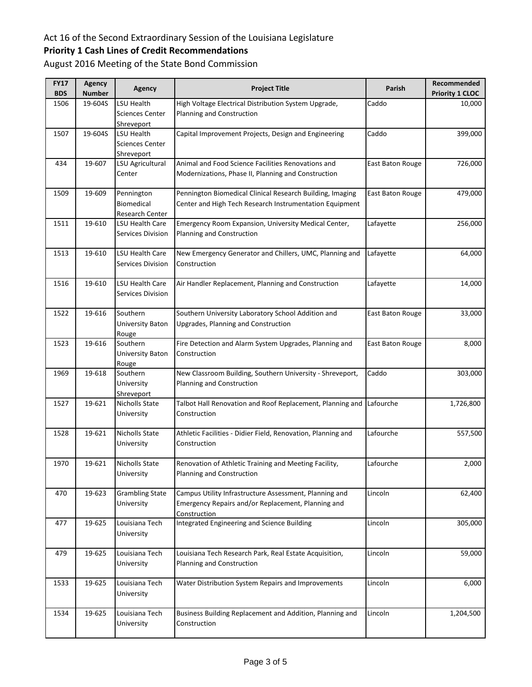# **Priority 1 Cash Lines of Credit Recommendations**

| <b>FY17</b><br><b>BDS</b> | Agency<br><b>Number</b> | <b>Agency</b>                      | <b>Project Title</b>                                               | Parish           | Recommended<br><b>Priority 1 CLOC</b> |
|---------------------------|-------------------------|------------------------------------|--------------------------------------------------------------------|------------------|---------------------------------------|
| 1506                      | 19-604S                 | LSU Health                         | High Voltage Electrical Distribution System Upgrade,               | Caddo            | 10,000                                |
|                           |                         | <b>Sciences Center</b>             | Planning and Construction                                          |                  |                                       |
|                           |                         | Shreveport                         |                                                                    |                  |                                       |
| 1507                      | 19-604S                 | LSU Health                         | Capital Improvement Projects, Design and Engineering               | Caddo            | 399,000                               |
|                           |                         | <b>Sciences Center</b>             |                                                                    |                  |                                       |
|                           |                         | Shreveport                         |                                                                    |                  |                                       |
| 434                       | 19-607                  | LSU Agricultural                   | Animal and Food Science Facilities Renovations and                 | East Baton Rouge | 726,000                               |
|                           |                         | Center                             | Modernizations, Phase II, Planning and Construction                |                  |                                       |
|                           |                         |                                    |                                                                    |                  |                                       |
| 1509                      | 19-609                  | Pennington                         | Pennington Biomedical Clinical Research Building, Imaging          | East Baton Rouge | 479,000                               |
|                           |                         | Biomedical                         | Center and High Tech Research Instrumentation Equipment            |                  |                                       |
| 1511                      | 19-610                  | Research Center<br>LSU Health Care | Emergency Room Expansion, University Medical Center,               | Lafayette        | 256,000                               |
|                           |                         | Services Division                  | Planning and Construction                                          |                  |                                       |
|                           |                         |                                    |                                                                    |                  |                                       |
| 1513                      | 19-610                  | LSU Health Care                    | New Emergency Generator and Chillers, UMC, Planning and            | Lafayette        | 64,000                                |
|                           |                         | Services Division                  | Construction                                                       |                  |                                       |
|                           |                         |                                    |                                                                    |                  |                                       |
| 1516                      | 19-610                  | LSU Health Care                    | Air Handler Replacement, Planning and Construction                 | Lafayette        | 14,000                                |
|                           |                         | Services Division                  |                                                                    |                  |                                       |
|                           |                         |                                    |                                                                    |                  |                                       |
| 1522                      | 19-616                  | Southern                           | Southern University Laboratory School Addition and                 | East Baton Rouge | 33,000                                |
|                           |                         | University Baton                   | Upgrades, Planning and Construction                                |                  |                                       |
|                           |                         | Rouge                              |                                                                    |                  |                                       |
| 1523                      | 19-616                  | Southern                           | Fire Detection and Alarm System Upgrades, Planning and             | East Baton Rouge | 8,000                                 |
|                           |                         | University Baton                   | Construction                                                       |                  |                                       |
| 1969                      | 19-618                  | Rouge<br>Southern                  | New Classroom Building, Southern University - Shreveport,          | Caddo            | 303,000                               |
|                           |                         | University                         | Planning and Construction                                          |                  |                                       |
|                           |                         | Shreveport                         |                                                                    |                  |                                       |
| 1527                      | $19 - 621$              | Nicholls State                     | Talbot Hall Renovation and Roof Replacement, Planning and          | Lafourche        | 1,726,800                             |
|                           |                         | University                         | Construction                                                       |                  |                                       |
|                           |                         |                                    |                                                                    |                  |                                       |
| 1528                      | 19-621                  | Nicholls State                     | Athletic Facilities - Didier Field, Renovation, Planning and       | Lafourche        | 557,500                               |
|                           |                         | University                         | Construction                                                       |                  |                                       |
|                           |                         |                                    |                                                                    |                  |                                       |
| 1970                      | 19-621                  | Nicholls State                     | Renovation of Athletic Training and Meeting Facility,              | Lafourche        | 2,000                                 |
|                           |                         | University                         | Planning and Construction                                          |                  |                                       |
|                           |                         |                                    |                                                                    |                  |                                       |
| 470                       | 19-623                  | <b>Grambling State</b>             | Campus Utility Infrastructure Assessment, Planning and             | Lincoln          | 62,400                                |
|                           |                         | University                         | Emergency Repairs and/or Replacement, Planning and<br>Construction |                  |                                       |
| 477                       | 19-625                  | Louisiana Tech                     | Integrated Engineering and Science Building                        | Lincoln          | 305,000                               |
|                           |                         | University                         |                                                                    |                  |                                       |
|                           |                         |                                    |                                                                    |                  |                                       |
| 479                       | 19-625                  | Louisiana Tech                     | Louisiana Tech Research Park, Real Estate Acquisition,             | Lincoln          | 59,000                                |
|                           |                         | University                         | Planning and Construction                                          |                  |                                       |
|                           |                         |                                    |                                                                    |                  |                                       |
| 1533                      | 19-625                  | Louisiana Tech                     | Water Distribution System Repairs and Improvements                 | Lincoln          | 6,000                                 |
|                           |                         | University                         |                                                                    |                  |                                       |
|                           |                         |                                    |                                                                    |                  |                                       |
| 1534                      | 19-625                  | Louisiana Tech                     | Business Building Replacement and Addition, Planning and           | Lincoln          | 1,204,500                             |
|                           |                         | University                         | Construction                                                       |                  |                                       |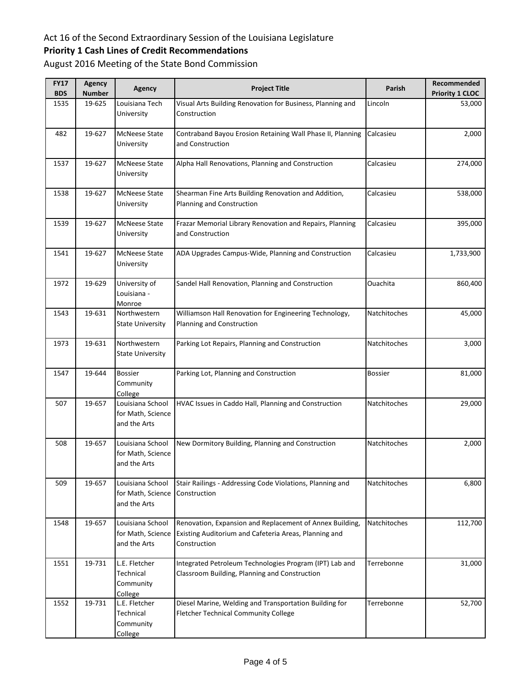# **Priority 1 Cash Lines of Credit Recommendations**

| <b>FY17</b><br><b>BDS</b> | Agency<br><b>Number</b> | <b>Agency</b>                                         | <b>Project Title</b>                                                                                                              | Parish         | Recommended<br><b>Priority 1 CLOC</b> |
|---------------------------|-------------------------|-------------------------------------------------------|-----------------------------------------------------------------------------------------------------------------------------------|----------------|---------------------------------------|
| 1535                      | 19-625                  | Louisiana Tech<br>University                          | Visual Arts Building Renovation for Business, Planning and<br>Construction                                                        | Lincoln        | 53,000                                |
| 482                       | 19-627                  | <b>McNeese State</b><br>University                    | Contraband Bayou Erosion Retaining Wall Phase II, Planning<br>and Construction                                                    | Calcasieu      | 2,000                                 |
| 1537                      | 19-627                  | <b>McNeese State</b><br>University                    | Alpha Hall Renovations, Planning and Construction                                                                                 | Calcasieu      | 274,000                               |
| 1538                      | 19-627                  | <b>McNeese State</b><br>University                    | Shearman Fine Arts Building Renovation and Addition,<br>Planning and Construction                                                 | Calcasieu      | 538,000                               |
| 1539                      | 19-627                  | <b>McNeese State</b><br>University                    | Frazar Memorial Library Renovation and Repairs, Planning<br>and Construction                                                      | Calcasieu      | 395,000                               |
| 1541                      | 19-627                  | <b>McNeese State</b><br>University                    | ADA Upgrades Campus-Wide, Planning and Construction                                                                               | Calcasieu      | 1,733,900                             |
| 1972                      | 19-629                  | University of<br>Louisiana -<br>Monroe                | Sandel Hall Renovation, Planning and Construction                                                                                 | Ouachita       | 860,400                               |
| 1543                      | 19-631                  | Northwestern<br><b>State University</b>               | Williamson Hall Renovation for Engineering Technology,<br>Planning and Construction                                               | Natchitoches   | 45,000                                |
| 1973                      | 19-631                  | Northwestern<br><b>State University</b>               | Parking Lot Repairs, Planning and Construction                                                                                    | Natchitoches   | 3,000                                 |
| 1547                      | 19-644                  | <b>Bossier</b><br>Community<br>College                | Parking Lot, Planning and Construction                                                                                            | <b>Bossier</b> | 81,000                                |
| 507                       | 19-657                  | Louisiana School<br>for Math, Science<br>and the Arts | HVAC Issues in Caddo Hall, Planning and Construction                                                                              | Natchitoches   | 29,000                                |
| 508                       | 19-657                  | Louisiana School<br>for Math, Science<br>and the Arts | New Dormitory Building, Planning and Construction                                                                                 | Natchitoches   | 2,000                                 |
| 509                       | 19-657                  | Louisiana School<br>for Math, Science<br>and the Arts | Stair Railings - Addressing Code Violations, Planning and<br>Construction                                                         | Natchitoches   | 6,800                                 |
| 1548                      | 19-657                  | Louisiana School<br>for Math, Science<br>and the Arts | Renovation, Expansion and Replacement of Annex Building,<br>Existing Auditorium and Cafeteria Areas, Planning and<br>Construction | Natchitoches   | 112,700                               |
| 1551                      | 19-731                  | L.E. Fletcher<br>Technical<br>Community<br>College    | Integrated Petroleum Technologies Program (IPT) Lab and<br>Classroom Building, Planning and Construction                          | Terrebonne     | 31,000                                |
| 1552                      | 19-731                  | L.E. Fletcher<br>Technical<br>Community<br>College    | Diesel Marine, Welding and Transportation Building for<br>Fletcher Technical Community College                                    | Terrebonne     | 52,700                                |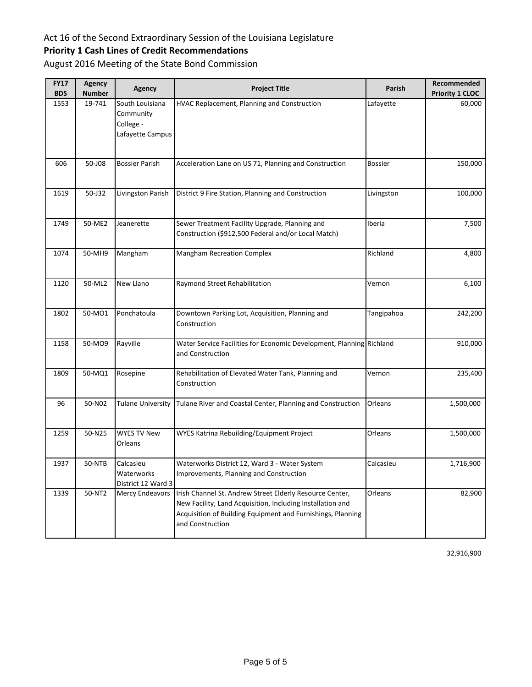# **Priority 1 Cash Lines of Credit Recommendations**

August 2016 Meeting of the State Bond Commission

| <b>FY17</b><br><b>BDS</b> | Agency<br><b>Number</b> | <b>Agency</b>                                                 | <b>Project Title</b>                                                                                                                                                                                      | Parish         | Recommended<br><b>Priority 1 CLOC</b> |
|---------------------------|-------------------------|---------------------------------------------------------------|-----------------------------------------------------------------------------------------------------------------------------------------------------------------------------------------------------------|----------------|---------------------------------------|
| 1553                      | 19-741                  | South Louisiana<br>Community<br>College -<br>Lafayette Campus | HVAC Replacement, Planning and Construction                                                                                                                                                               | Lafayette      | 60,000                                |
| 606                       | 50-J08                  | <b>Bossier Parish</b>                                         | Acceleration Lane on US 71, Planning and Construction                                                                                                                                                     | <b>Bossier</b> | 150,000                               |
| 1619                      | 50-J32                  | Livingston Parish                                             | District 9 Fire Station, Planning and Construction                                                                                                                                                        | Livingston     | 100,000                               |
| 1749                      | 50-ME2                  | Jeanerette                                                    | Sewer Treatment Facility Upgrade, Planning and<br>Construction (\$912,500 Federal and/or Local Match)                                                                                                     | Iberia         | 7,500                                 |
| 1074                      | 50-MH9                  | Mangham                                                       | <b>Mangham Recreation Complex</b>                                                                                                                                                                         | Richland       | 4,800                                 |
| 1120                      | 50-ML2                  | New Llano                                                     | Raymond Street Rehabilitation                                                                                                                                                                             | Vernon         | 6,100                                 |
| 1802                      | 50-MO1                  | Ponchatoula                                                   | Downtown Parking Lot, Acquisition, Planning and<br>Construction                                                                                                                                           | Tangipahoa     | 242,200                               |
| 1158                      | 50-MO9                  | Rayville                                                      | Water Service Facilities for Economic Development, Planning Richland<br>and Construction                                                                                                                  |                | 910,000                               |
| 1809                      | 50-MQ1                  | Rosepine                                                      | Rehabilitation of Elevated Water Tank, Planning and<br>Construction                                                                                                                                       | Vernon         | 235,400                               |
| 96                        | 50-N02                  | <b>Tulane University</b>                                      | Tulane River and Coastal Center, Planning and Construction                                                                                                                                                | Orleans        | 1,500,000                             |
| 1259                      | 50-N25                  | <b>WYES TV New</b><br>Orleans                                 | WYES Katrina Rebuilding/Equipment Project                                                                                                                                                                 | Orleans        | 1,500,000                             |
| 1937                      | 50-NTB                  | Calcasieu<br>Waterworks<br>District 12 Ward 3                 | Waterworks District 12, Ward 3 - Water System<br>Improvements, Planning and Construction                                                                                                                  | Calcasieu      | 1,716,900                             |
| 1339                      | 50-NT2                  | Mercy Endeavors                                               | Irish Channel St. Andrew Street Elderly Resource Center,<br>New Facility, Land Acquisition, Including Installation and<br>Acquisition of Building Equipment and Furnishings, Planning<br>and Construction | Orleans        | 82,900                                |

32,916,900